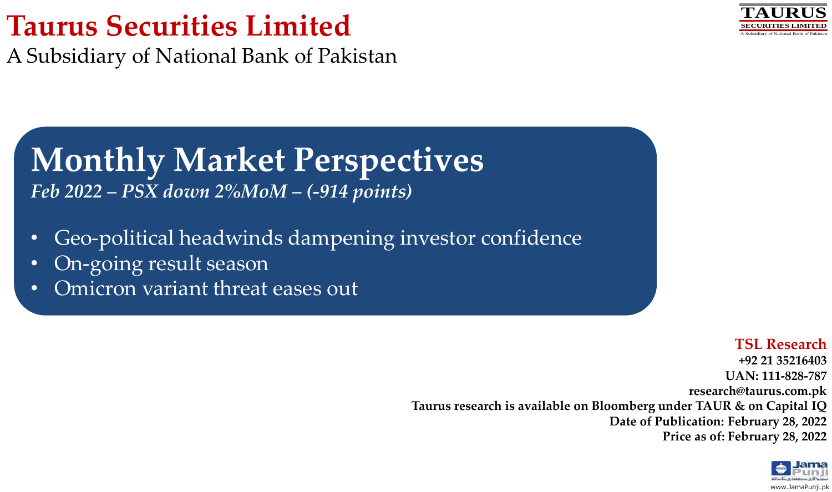# **Taurus Securities Limited**

A Subsidiary of National Bank of Pakistan

#### **TAURUS SECURITIES LIMITED** A Subsidiary of National Bank of Pakistan

# **Monthly Market Perspectives**

*Feb 2022 – PSX down 2%MoM – (-914 points)*

- Geo-political headwinds dampening investor confidence
- On-going result season
- Omicron variant threat eases out

## **TSL Research**

**+92 21 35216403 UAN: 111-828-787 research@taurus.com.pk Taurus research is available on Bloomberg under TAUR & on Capital IQ Date of Publication: February 28, 2022 Price as of: February 28, 2022** 

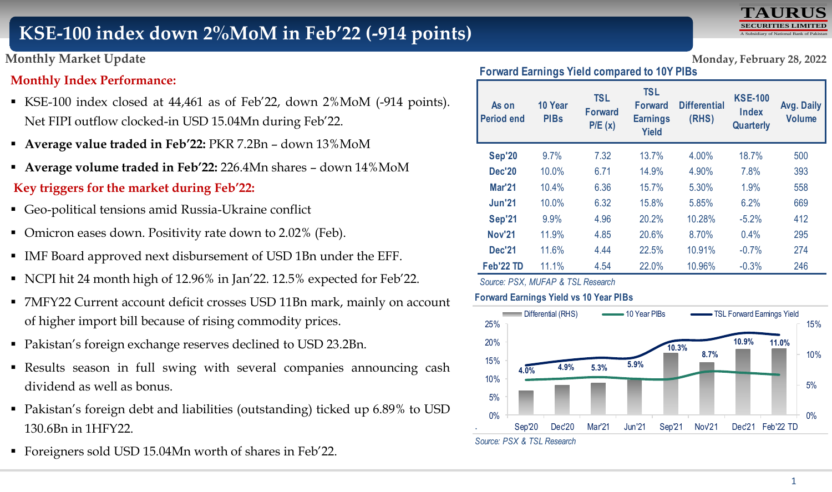# **KSE-100 index down 2%MoM in Feb'22 (-914 points)**



## **Monthly Market Update Monday, February 28, 2022**

#### **Monthly Index Performance:**

- KSE-100 index closed at 44,461 as of Feb'22, down 2%MoM (-914 points). Net FIPI outflow clocked-in USD 15.04Mn during Feb'22.
- **Average value traded in Feb'22:** PKR 7.2Bn down 13%MoM
- **Average volume traded in Feb'22:** 226.4Mn shares down 14%MoM **Key triggers for the market during Feb'22:**
- Geo-political tensions amid Russia-Ukraine conflict
- Omicron eases down. Positivity rate down to 2.02% (Feb).
- IMF Board approved next disbursement of USD 1Bn under the EFF.
- NCPI hit 24 month high of 12.96% in Jan'22. 12.5% expected for Feb'22.
- 7MFY22 Current account deficit crosses USD 11Bn mark, mainly on account of higher import bill because of rising commodity prices.
- Pakistan's foreign exchange reserves declined to USD 23.2Bn.
- Results season in full swing with several companies announcing cash dividend as well as bonus.
- Pakistan's foreign debt and liabilities (outstanding) ticked up 6.89% to USD 130.6Bn in 1HFY22.
- Foreigners sold USD 15.04Mn worth of shares in Feb'22.

**Forward Earnings Yield compared to 10Y PIBs**

| As on<br><b>Period end</b> | 10 Year<br><b>PIBs</b> | <b>TSL</b><br><b>Forward</b><br>P/E(x) | <b>TSL</b><br><b>Forward</b><br><b>Earnings</b><br><b>Yield</b> | <b>Differential</b><br>(RHS) | <b>KSE-100</b><br>Index<br>Quarterly | Avg. Daily<br><b>Volume</b> |
|----------------------------|------------------------|----------------------------------------|-----------------------------------------------------------------|------------------------------|--------------------------------------|-----------------------------|
| <b>Sep'20</b>              | 9.7%                   | 7.32                                   | 13.7%                                                           | 4.00%                        | 18.7%                                | 500                         |
| <b>Dec'20</b>              | 10.0%                  | 6.71                                   | 14.9%                                                           | 4.90%                        | 7.8%                                 | 393                         |
| <b>Mar'21</b>              | 10.4%                  | 6.36                                   | 15.7%                                                           | 5.30%                        | 1.9%                                 | 558                         |
| <b>Jun'21</b>              | 10.0%                  | 6.32                                   | 15.8%                                                           | 5.85%                        | 6.2%                                 | 669                         |
| <b>Sep'21</b>              | 9.9%                   | 4.96                                   | 20.2%                                                           | 10.28%                       | $-5.2%$                              | 412                         |
| <b>Nov'21</b>              | 11.9%                  | 4.85                                   | 20.6%                                                           | 8.70%                        | $0.4\%$                              | 295                         |
| <b>Dec'21</b>              | 11.6%                  | 4.44                                   | 22.5%                                                           | 10.91%                       | $-0.7%$                              | 274                         |
| Feb'22 TD                  | 11.1%                  | 4.54                                   | 22.0%                                                           | 10.96%                       | $-0.3%$                              | 246                         |

*Source: PSX, MUFAP & TSL Research*

#### **Forward Earnings Yield vs 10 Year PIBs**

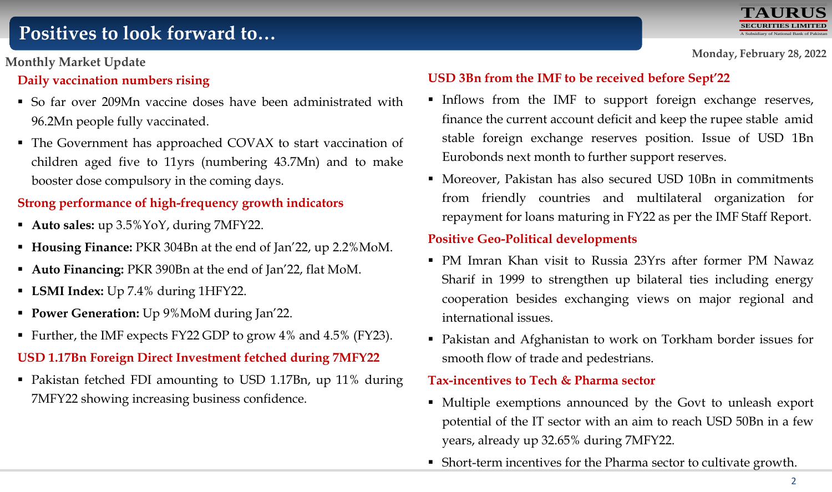# **Positives to look forward to…**

## **Monthly Market Update**

## **Daily vaccination numbers rising**

- So far over 209Mn vaccine doses have been administrated with 96.2Mn people fully vaccinated.
- The Government has approached COVAX to start vaccination of children aged five to 11yrs (numbering 43.7Mn) and to make booster dose compulsory in the coming days.

## **Strong performance of high-frequency growth indicators**

- **Auto sales:** up 3.5%YoY, during 7MFY22.
- **Housing Finance:** PKR 304Bn at the end of Jan'22, up 2.2%MoM.
- **Auto Financing:** PKR 390Bn at the end of Jan'22, flat MoM.
- **LSMI Index:** Up 7.4% during 1HFY22.
- **Power Generation:** Up 9%MoM during Jan'22.
- Further, the IMF expects FY22 GDP to grow 4% and 4.5% (FY23).

## **USD 1.17Bn Foreign Direct Investment fetched during 7MFY22**

 Pakistan fetched FDI amounting to USD 1.17Bn, up 11% during 7MFY22 showing increasing business confidence.

## **USD 3Bn from the IMF to be received before Sept'22**

- Inflows from the IMF to support foreign exchange reserves, finance the current account deficit and keep the rupee stable amid stable foreign exchange reserves position. Issue of USD 1Bn Eurobonds next month to further support reserves.
- Moreover, Pakistan has also secured USD 10Bn in commitments from friendly countries and multilateral organization for repayment for loans maturing in FY22 as per the IMF Staff Report.

#### **Positive Geo-Political developments**

- PM Imran Khan visit to Russia 23Yrs after former PM Nawaz Sharif in 1999 to strengthen up bilateral ties including energy cooperation besides exchanging views on major regional and international issues.
- Pakistan and Afghanistan to work on Torkham border issues for smooth flow of trade and pedestrians.

#### **Tax-incentives to Tech & Pharma sector**

- Multiple exemptions announced by the Govt to unleash export potential of the IT sector with an aim to reach USD 50Bn in a few years, already up 32.65% during 7MFY22.
- Short-term incentives for the Pharma sector to cultivate growth.



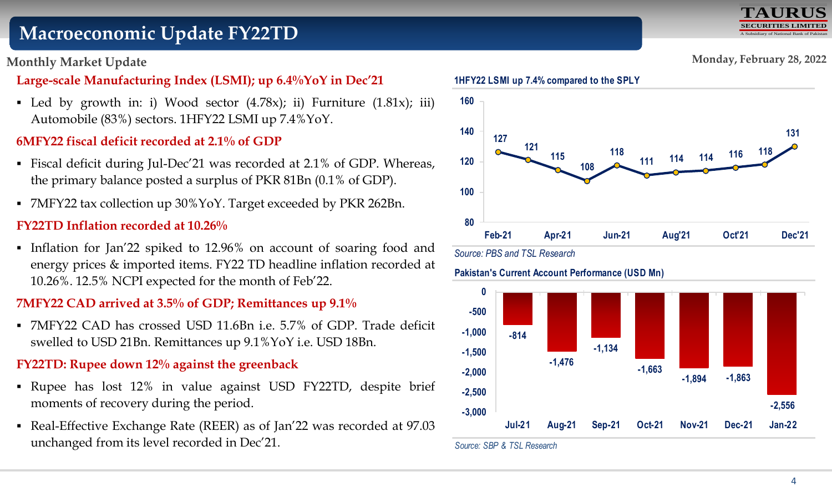# **Macroeconomic Update FY22TD**

## **Monthly Market Update**

# **Large-scale Manufacturing Index (LSMI); up 6.4%YoY in Dec'21**

• Led by growth in: i) Wood sector  $(4.78x)$ ; ii) Furniture  $(1.81x)$ ; iii) Automobile (83%) sectors. 1HFY22 LSMI up 7.4%YoY.

# **6MFY22 fiscal deficit recorded at 2.1% of GDP**

- Fiscal deficit during Jul-Dec'21 was recorded at 2.1% of GDP. Whereas, the primary balance posted a surplus of PKR 81Bn (0.1% of GDP).
- 7MFY22 tax collection up 30%YoY. Target exceeded by PKR 262Bn.

## **FY22TD Inflation recorded at 10.26%**

Inflation for Jan'22 spiked to 12.96% on account of soaring food and energy prices & imported items. FY22 TD headline inflation recorded at 10.26%. 12.5% NCPI expected for the month of Feb'22.

# **7MFY22 CAD arrived at 3.5% of GDP; Remittances up 9.1%**

 7MFY22 CAD has crossed USD 11.6Bn i.e. 5.7% of GDP. Trade deficit swelled to USD 21Bn. Remittances up 9.1%YoY i.e. USD 18Bn.

# **FY22TD: Rupee down 12% against the greenback**

- Rupee has lost 12% in value against USD FY22TD, despite brief moments of recovery during the period.
- Real-Effective Exchange Rate (REER) as of Jan'22 was recorded at 97.03 unchanged from its level recorded in Dec'21.



#### **Pakistan's Current Account Performance (USD Mn)**



*Source: SBP & TSL Research*

**Monday, February 28, 2022**

**TAURUS**

**SECURITIES LIMITED** A Subsidiary of National Bank of Pakistan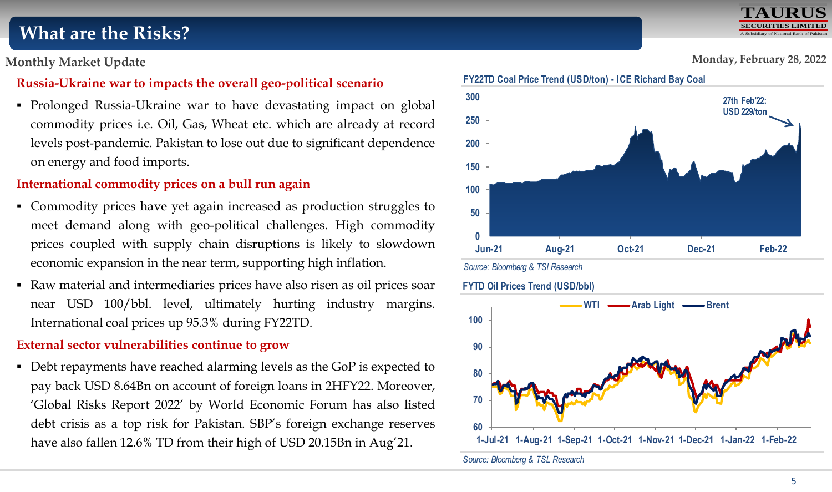# **What are the Risks?**

**Monthly Market Update**

## **Russia-Ukraine war to impacts the overall geo-political scenario**

 Prolonged Russia-Ukraine war to have devastating impact on global commodity prices i.e. Oil, Gas, Wheat etc. which are already at record levels post-pandemic. Pakistan to lose out due to significant dependence on energy and food imports.

## **International commodity prices on a bull run again**

- Commodity prices have yet again increased as production struggles to meet demand along with geo-political challenges. High commodity prices coupled with supply chain disruptions is likely to slowdown economic expansion in the near term, supporting high inflation.
- Raw material and intermediaries prices have also risen as oil prices soar near USD 100/bbl. level, ultimately hurting industry margins. International coal prices up 95.3% during FY22TD.

## **External sector vulnerabilities continue to grow**

Debt repayments have reached alarming levels as the GoP is expected to pay back USD 8.64Bn on account of foreign loans in 2HFY22. Moreover, 'Global Risks Report 2022' by World Economic Forum has also listed debt crisis as a top risk for Pakistan. SBP's foreign exchange reserves have also fallen 12.6% TD from their high of USD 20.15Bn in Aug'21.



*Source: Bloomberg & TSL Research*

#### **Monday, February 28, 2022**

**TAURUS SECURITIES LIMITED** A Subsidiary of National Bank of Pakistan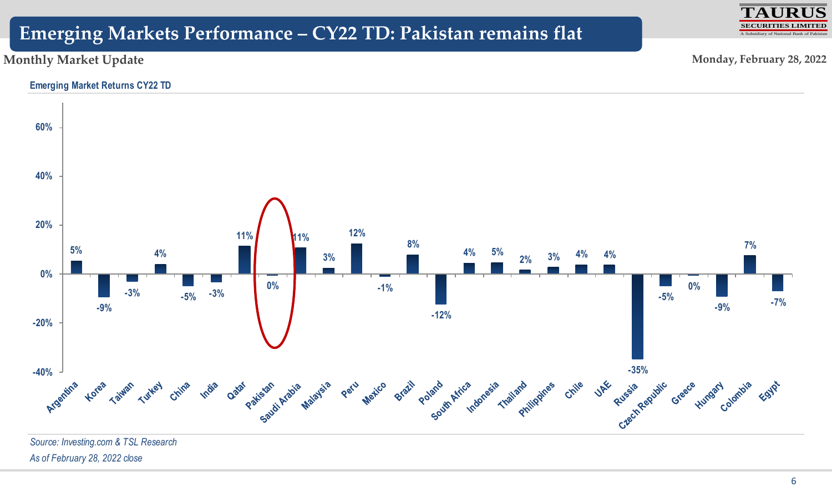# **Emerging Markets Performance – CY22 TD: Pakistan remains flat**

#### **Monthly Market Update**

**Monday, February 28, 2022**

**TAURUS SECURITIES LIMITED** A Subsidiary of National Bank of Pakistan

#### **Emerging Market Returns CY22 TD**



*Source: Investing.com & TSL Research As of February 28, 2022 close*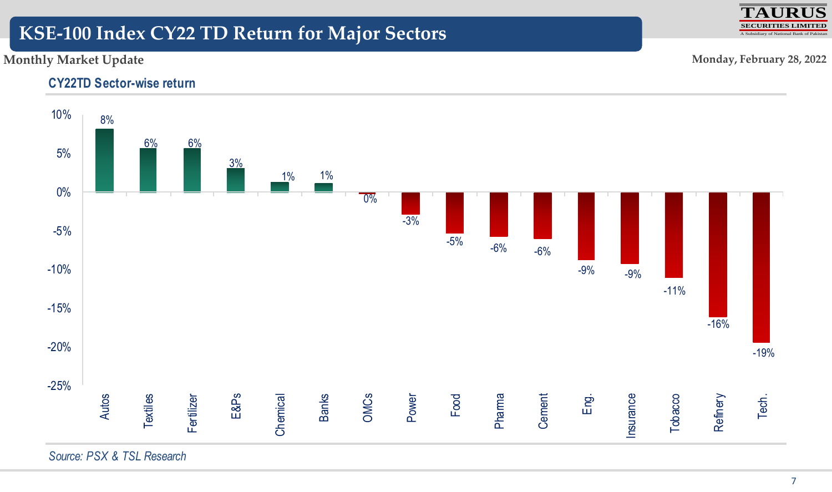# **KSE-100 Index CY22 TD Return for Major Sectors**

## **Monthly Market Update**

**Monday, February 28, 2022**

**TAURUS BITIES**  $\overline{\text{Area}}$  of National

## **CY22TD Sector-wise return**



*Source: PSX & TSL Research*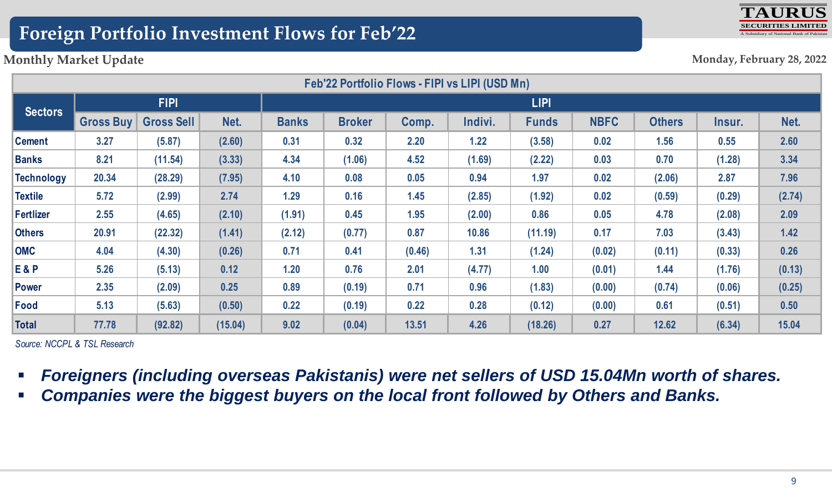# **Foreign Portfolio Investment Flows for Feb'22**



#### **Monthly Market Update**

**Monday, February 28, 2022**

| Feb'22 Portfolio Flows - FIPI vs LIPI (USD Mn) |                  |                   |         |              |               |        |         |              |             |               |        |        |
|------------------------------------------------|------------------|-------------------|---------|--------------|---------------|--------|---------|--------------|-------------|---------------|--------|--------|
| <b>Sectors</b>                                 | <b>FIPI</b>      |                   |         | <b>LIPI</b>  |               |        |         |              |             |               |        |        |
|                                                | <b>Gross Buy</b> | <b>Gross Sell</b> | Net.    | <b>Banks</b> | <b>Broker</b> | Comp.  | Indivi. | <b>Funds</b> | <b>NBFC</b> | <b>Others</b> | Insur. | Net.   |
| <b>Cement</b>                                  | 3.27             | (5.87)            | (2.60)  | 0.31         | 0.32          | 2.20   | 1.22    | (3.58)       | 0.02        | 1.56          | 0.55   | 2.60   |
| <b>Banks</b>                                   | 8.21             | (11.54)           | (3.33)  | 4.34         | (1.06)        | 4.52   | (1.69)  | (2.22)       | 0.03        | 0.70          | (1.28) | 3.34   |
| <b>Technology</b>                              | 20.34            | (28.29)           | (7.95)  | 4.10         | 0.08          | 0.05   | 0.94    | 1.97         | 0.02        | (2.06)        | 2.87   | 7.96   |
| <b>Textile</b>                                 | 5.72             | (2.99)            | 2.74    | 1.29         | 0.16          | 1.45   | (2.85)  | (1.92)       | 0.02        | (0.59)        | (0.29) | (2.74) |
| <b>Fertlizer</b>                               | 2.55             | (4.65)            | (2.10)  | (1.91)       | 0.45          | 1.95   | (2.00)  | 0.86         | 0.05        | 4.78          | (2.08) | 2.09   |
| <b>Others</b>                                  | 20.91            | (22.32)           | (1.41)  | (2.12)       | (0.77)        | 0.87   | 10.86   | (11.19)      | 0.17        | 7.03          | (3.43) | $1.42$ |
| <b>OMC</b>                                     | 4.04             | (4.30)            | (0.26)  | 0.71         | 0.41          | (0.46) | 1.31    | (1.24)       | (0.02)      | (0.11)        | (0.33) | 0.26   |
| <b>E&amp;P</b>                                 | 5.26             | (5.13)            | 0.12    | 1.20         | 0.76          | 2.01   | (4.77)  | 1.00         | (0.01)      | 1.44          | (1.76) | (0.13) |
| <b>Power</b>                                   | 2.35             | (2.09)            | 0.25    | 0.89         | (0.19)        | 0.71   | 0.96    | (1.83)       | (0.00)      | (0.74)        | (0.06) | (0.25) |
| Food                                           | 5.13             | (5.63)            | (0.50)  | 0.22         | (0.19)        | 0.22   | 0.28    | (0.12)       | (0.00)      | 0.61          | (0.51) | 0.50   |
| <b>Total</b>                                   | 77.78            | (92.82)           | (15.04) | 9.02         | (0.04)        | 13.51  | 4.26    | (18.26)      | 0.27        | 12.62         | (6.34) | 15.04  |

*Source: NCCPL & TSL Research*

- *Foreigners (including overseas Pakistanis) were net sellers of USD 15.04Mn worth of shares.*
- *Companies were the biggest buyers on the local front followed by Others and Banks.*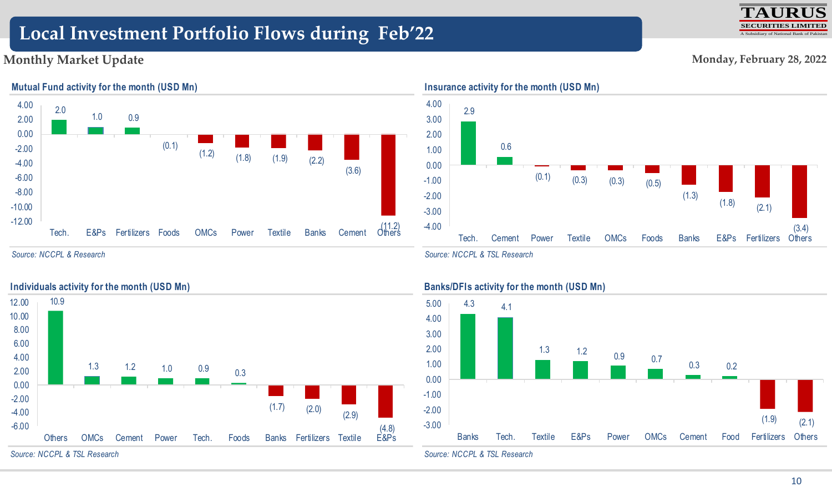# **Local Investment Portfolio Flows during Feb'22**

#### **Monthly Market Update**



#### **Mutual Fund activity for the month (USD Mn)**

*Source: NCCPL & Research*



#### *Source: NCCPL & TSL Research*



*Source: NCCPL & TSL Research*





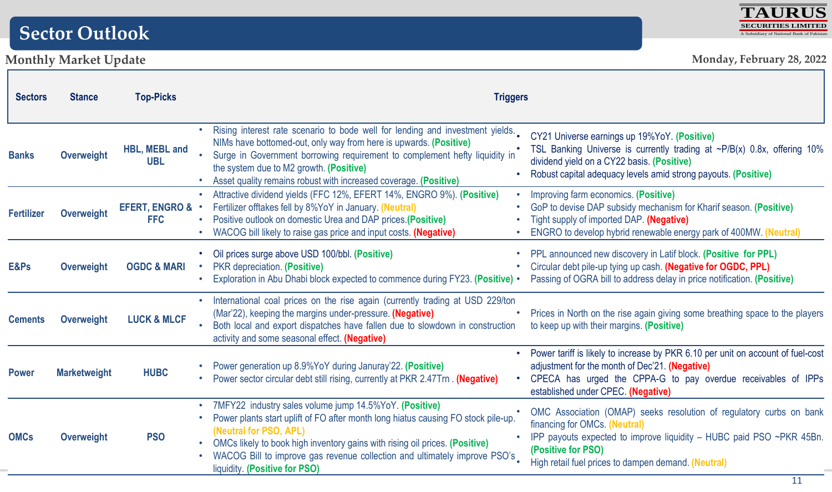# **Sector Outlook**

# **Monthly Market Update**



| <b>Sectors</b>    | <b>Stance</b>       | <b>Top-Picks</b>                   | <b>Triggers</b>                                                                                                                                                                                                                                                                                                                                                                                                                                                                                                                                                                                                                                     |  |  |  |  |  |
|-------------------|---------------------|------------------------------------|-----------------------------------------------------------------------------------------------------------------------------------------------------------------------------------------------------------------------------------------------------------------------------------------------------------------------------------------------------------------------------------------------------------------------------------------------------------------------------------------------------------------------------------------------------------------------------------------------------------------------------------------------------|--|--|--|--|--|
| <b>Banks</b>      | <b>Overweight</b>   | HBL, MEBL and<br><b>UBL</b>        | Rising interest rate scenario to bode well for lending and investment yields.<br>CY21 Universe earnings up 19%YoY. (Positive)<br>NIMs have bottomed-out, only way from here is upwards. (Positive)<br>TSL Banking Universe is currently trading at ~P/B(x) 0.8x, offering 10%<br>Surge in Government borrowing requirement to complement hefty liquidity in<br>dividend yield on a CY22 basis. (Positive)<br>the system due to M2 growth. (Positive)<br>Robust capital adequacy levels amid strong payouts. (Positive)<br>Asset quality remains robust with increased coverage. (Positive)                                                          |  |  |  |  |  |
| <b>Fertilizer</b> | <b>Overweight</b>   | <b>EFERT, ENGRO &amp; ·</b><br>FFC | • Attractive dividend yields (FFC 12%, EFERT 14%, ENGRO 9%). (Positive)<br>Improving farm economics. (Positive)<br>Fertilizer offtakes fell by 8%YoY in January. (Neutral)<br>GoP to devise DAP subsidy mechanism for Kharif season. (Positive)<br>• Positive outlook on domestic Urea and DAP prices.(Positive)<br>Tight supply of imported DAP. (Negative)<br>ENGRO to develop hybrid renewable energy park of 400MW. (Neutral)<br>WACOG bill likely to raise gas price and input costs. (Negative)                                                                                                                                               |  |  |  |  |  |
| E&Ps              | <b>Overweight</b>   | <b>OGDC &amp; MARI</b>             | PPL announced new discovery in Latif block. (Positive for PPL)<br>Oil prices surge above USD 100/bbl. (Positive)<br>Circular debt pile-up tying up cash. (Negative for OGDC, PPL)<br>PKR depreciation. (Positive)<br>Exploration in Abu Dhabi block expected to commence during FY23. (Positive) .<br>Passing of OGRA bill to address delay in price notification. (Positive)                                                                                                                                                                                                                                                                       |  |  |  |  |  |
| <b>Cements</b>    | Overweight          | <b>LUCK &amp; MLCF</b>             | International coal prices on the rise again (currently trading at USD 229/ton<br>(Mar'22), keeping the margins under-pressure. (Negative)<br>Prices in North on the rise again giving some breathing space to the players<br>• Both local and export dispatches have fallen due to slowdown in construction<br>to keep up with their margins. (Positive)<br>activity and some seasonal effect. (Negative)                                                                                                                                                                                                                                           |  |  |  |  |  |
| <b>Power</b>      | <b>Marketweight</b> | <b>HUBC</b>                        | Power tariff is likely to increase by PKR 6.10 per unit on account of fuel-cost<br>Power generation up 8.9%YoY during Januray'22. (Positive)<br>adjustment for the month of Dec'21. (Negative)<br>CPECA has urged the CPPA-G to pay overdue receivables of IPPs<br>Power sector circular debt still rising, currently at PKR 2.47Trn. (Negative)<br>established under CPEC. (Negative)                                                                                                                                                                                                                                                              |  |  |  |  |  |
| <b>OMCs</b>       | <b>Overweight</b>   | <b>PSO</b>                         | 7MFY22 industry sales volume jump 14.5%YoY. (Positive)<br>OMC Association (OMAP) seeks resolution of regulatory curbs on bank<br>Power plants start uplift of FO after month long hiatus causing FO stock pile-up.<br>financing for OMCs. (Neutral)<br>(Neutral for PSO, APL)<br>IPP payouts expected to improve liquidity - HUBC paid PSO ~PKR 45Bn.<br>OMCs likely to book high inventory gains with rising oil prices. (Positive)<br>(Positive for PSO)<br>WACOG Bill to improve gas revenue collection and ultimately improve PSO's<br>High retail fuel prices to dampen demand. (Neutral)<br>liquidity. (Positive for PSO)<br>4.4 <sub>1</sub> |  |  |  |  |  |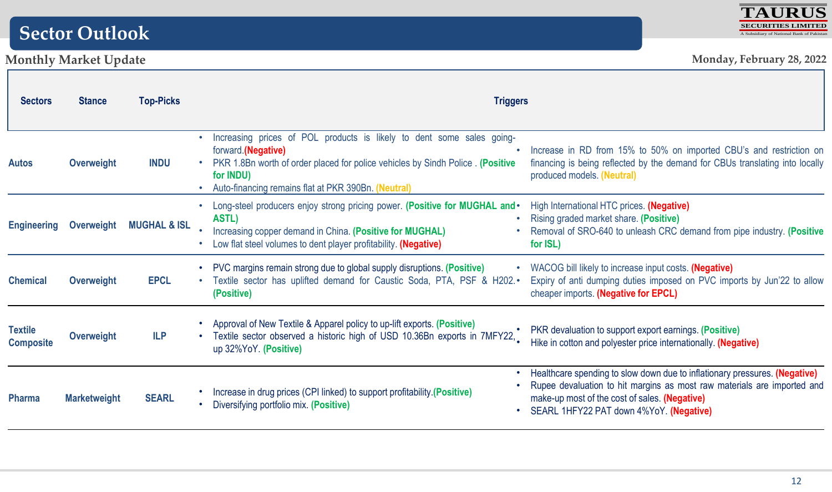# **Sector Outlook**



| <b>Sectors</b>                     | <b>Stance</b><br>Overweight | <b>Top-Picks</b><br><b>INDU</b> | <b>Triggers</b>                                                                                                                                                                                                                                    |                                                                                                                                                                                                                                                     |  |  |  |
|------------------------------------|-----------------------------|---------------------------------|----------------------------------------------------------------------------------------------------------------------------------------------------------------------------------------------------------------------------------------------------|-----------------------------------------------------------------------------------------------------------------------------------------------------------------------------------------------------------------------------------------------------|--|--|--|
| <b>Autos</b>                       |                             |                                 | Increasing prices of POL products is likely to dent some sales going-<br>forward.(Negative)<br>PKR 1.8Bn worth of order placed for police vehicles by Sindh Police . (Positive<br>for INDU)<br>Auto-financing remains flat at PKR 390Bn. (Neutral) | Increase in RD from 15% to 50% on imported CBU's and restriction on<br>financing is being reflected by the demand for CBUs translating into locally<br>produced models. (Neutral)                                                                   |  |  |  |
| <b>Engineering</b>                 | Overweight                  | <b>MUGHAL &amp; ISL</b>         | Long-steel producers enjoy strong pricing power. (Positive for MUGHAL and •<br>ASTL)<br>Increasing copper demand in China. (Positive for MUGHAL)<br>Low flat steel volumes to dent player profitability. (Negative)                                | High International HTC prices. (Negative)<br>Rising graded market share. (Positive)<br>Removal of SRO-640 to unleash CRC demand from pipe industry. (Positive<br>for ISL)                                                                           |  |  |  |
| <b>Chemical</b>                    | Overweight                  | <b>EPCL</b>                     | PVC margins remain strong due to global supply disruptions. (Positive)<br>Textile sector has uplifted demand for Caustic Soda, PTA, PSF & H202.•<br>(Positive)                                                                                     | • WACOG bill likely to increase input costs. (Negative)<br>Expiry of anti dumping duties imposed on PVC imports by Jun'22 to allow<br>cheaper imports. (Negative for EPCL)                                                                          |  |  |  |
| <b>Textile</b><br><b>Composite</b> | <b>Overweight</b>           | <b>ILP</b>                      | Approval of New Textile & Apparel policy to up-lift exports. (Positive)<br>Textile sector observed a historic high of USD 10.36Bn exports in 7MFY22,<br>up 32%YoY. (Positive)                                                                      | PKR devaluation to support export earnings. (Positive)<br>Hike in cotton and polyester price internationally. (Negative)                                                                                                                            |  |  |  |
| <b>Pharma</b>                      | <b>Marketweight</b>         | <b>SEARL</b>                    | Increase in drug prices (CPI linked) to support profitability (Positive)<br>Diversifying portfolio mix. (Positive)                                                                                                                                 | • Healthcare spending to slow down due to inflationary pressures. (Negative)<br>Rupee devaluation to hit margins as most raw materials are imported and<br>make-up most of the cost of sales. (Negative)<br>SEARL 1HFY22 PAT down 4%YoY. (Negative) |  |  |  |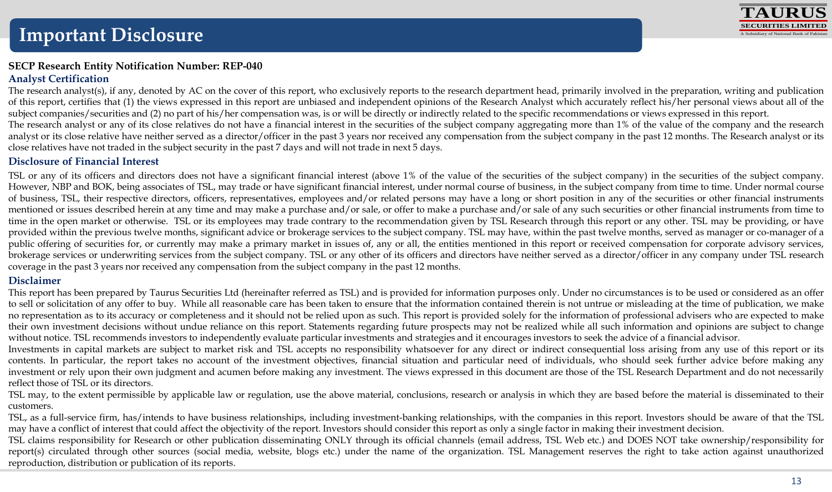

#### **SECP Research Entity Notification Number: REP-040 Analyst Certification**

The research analyst(s), if any, denoted by AC on the cover of this report, who exclusively reports to the research department head, primarily involved in the preparation, writing and publication of this report, certifies that (1) the views expressed in this report are unbiased and independent opinions of the Research Analyst which accurately reflect his/her personal views about all of the subject companies/securities and (2) no part of his/her compensation was, is or will be directly or indirectly related to the specific recommendations or views expressed in this report. The research analyst or any of its close relatives do not have a financial interest in the securities of the subject company aggregating more than 1% of the value of the company and the research analyst or its close relative have neither served as a director/officer in the past 3 years nor received any compensation from the subject company in the past 12 months. The Research analyst or its close relatives have not traded in the subject security in the past 7 days and will not trade in next 5 days.

#### **Disclosure of Financial Interest**

TSL or any of its officers and directors does not have a significant financial interest (above 1% of the value of the securities of the subject company) in the securities of the subject company. However, NBP and BOK, being associates of TSL, may trade or have significant financial interest, under normal course of business, in the subject company from time to time. Under normal course of business, TSL, their respective directors, officers, representatives, employees and/or related persons may have a long or short position in any of the securities or other financial instruments mentioned or issues described herein at any time and may make a purchase and/or sale, or offer to make a purchase and/or sale of any such securities or other financial instruments from time to time in the open market or otherwise. TSL or its employees may trade contrary to the recommendation given by TSL Research through this report or any other. TSL may be providing, or have provided within the previous twelve months, significant advice or brokerage services to the subject company. TSL may have, within the past twelve months, served as manager or co-manager of a public offering of securities for, or currently may make a primary market in issues of, any or all, the entities mentioned in this report or received compensation for corporate advisory services, brokerage services or underwriting services from the subject company. TSL or any other of its officers and directors have neither served as a director/officer in any company under TSL research coverage in the past 3 years nor received any compensation from the subject company in the past 12 months.

#### **Disclaimer**

This report has been prepared by Taurus Securities Ltd (hereinafter referred as TSL) and is provided for information purposes only. Under no circumstances is to be used or considered as an offer to sell or solicitation of any offer to buy. While all reasonable care has been taken to ensure that the information contained therein is not untrue or misleading at the time of publication, we make no representation as to its accuracy or completeness and it should not be relied upon as such. This report is provided solely for the information of professional advisers who are expected to make their own investment decisions without undue reliance on this report. Statements regarding future prospects may not be realized while all such information and opinions are subject to change without notice. TSL recommends investors to independently evaluate particular investments and strategies and it encourages investors to seek the advice of a financial advisor.

Investments in capital markets are subject to market risk and TSL accepts no responsibility whatsoever for any direct or indirect consequential loss arising from any use of this report or its contents. In particular, the report takes no account of the investment objectives, financial situation and particular need of individuals, who should seek further advice before making any investment or rely upon their own judgment and acumen before making any investment. The views expressed in this document are those of the TSL Research Department and do not necessarily reflect those of TSL or its directors.

TSL may, to the extent permissible by applicable law or regulation, use the above material, conclusions, research or analysis in which they are based before the material is disseminated to their customers.

TSL, as a full-service firm, has/intends to have business relationships, including investment-banking relationships, with the companies in this report. Investors should be aware of that the TSL may have a conflict of interest that could affect the objectivity of the report. Investors should consider this report as only a single factor in making their investment decision.

TSL claims responsibility for Research or other publication disseminating ONLY through its official channels (email address, TSL Web etc.) and DOES NOT take ownership/responsibility for report(s) circulated through other sources (social media, website, blogs etc.) under the name of the organization. TSL Management reserves the right to take action against unauthorized reproduction, distribution or publication of its reports.